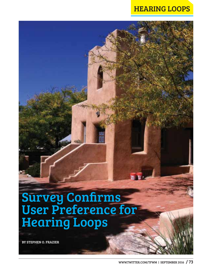## HEARING LOOPS

## Survey Confirms User Preference for Hearing Loops

BY STEPHEN O. FRAZIER